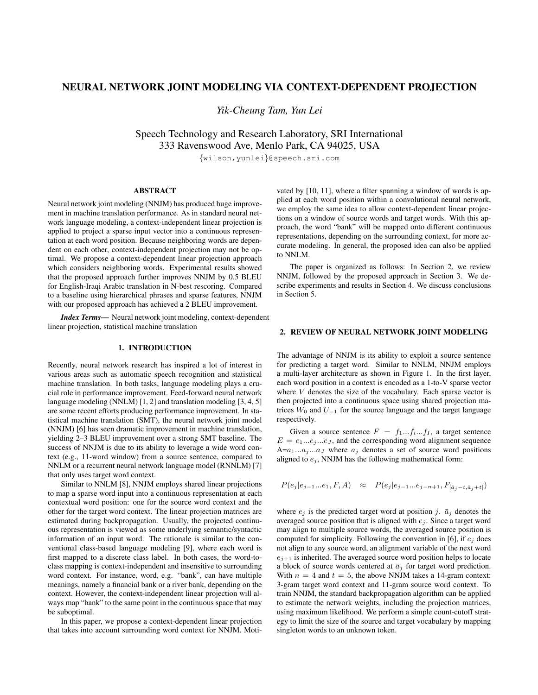# NEURAL NETWORK JOINT MODELING VIA CONTEXT-DEPENDENT PROJECTION

*Yik-Cheung Tam, Yun Lei*

Speech Technology and Research Laboratory, SRI International 333 Ravenswood Ave, Menlo Park, CA 94025, USA

*{*wilson,yunlei*}*@speech.sri.com

# ABSTRACT

Neural network joint modeling (NNJM) has produced huge improvement in machine translation performance. As in standard neural network language modeling, a context-independent linear projection is applied to project a sparse input vector into a continuous representation at each word position. Because neighboring words are dependent on each other, context-independent projection may not be optimal. We propose a context-dependent linear projection approach which considers neighboring words. Experimental results showed that the proposed approach further improves NNJM by 0.5 BLEU for English-Iraqi Arabic translation in N-best rescoring. Compared to a baseline using hierarchical phrases and sparse features, NNJM with our proposed approach has achieved a 2 BLEU improvement.

*Index Terms*— Neural network joint modeling, context-dependent linear projection, statistical machine translation

#### 1. INTRODUCTION

Recently, neural network research has inspired a lot of interest in various areas such as automatic speech recognition and statistical machine translation. In both tasks, language modeling plays a crucial role in performance improvement. Feed-forward neural network language modeling (NNLM) [1, 2] and translation modeling [3, 4, 5] are some recent efforts producing performance improvement. In statistical machine translation (SMT), the neural network joint model (NNJM) [6] has seen dramatic improvement in machine translation, yielding 2–3 BLEU improvement over a strong SMT baseline. The success of NNJM is due to its ability to leverage a wide word context (e.g., 11-word window) from a source sentence, compared to NNLM or a recurrent neural network language model (RNNLM) [7] that only uses target word context.

Similar to NNLM [8], NNJM employs shared linear projections to map a sparse word input into a continuous representation at each contextual word position: one for the source word context and the other for the target word context. The linear projection matrices are estimated during backpropagation. Usually, the projected continuous representation is viewed as some underlying semantic/syntactic information of an input word. The rationale is similar to the conventional class-based language modeling [9], where each word is first mapped to a discrete class label. In both cases, the word-toclass mapping is context-independent and insensitive to surrounding word context. For instance, word, e.g. "bank", can have multiple meanings, namely a financial bank or a river bank, depending on the context. However, the context-independent linear projection will always map "bank" to the same point in the continuous space that may be suboptimal.

In this paper, we propose a context-dependent linear projection that takes into account surrounding word context for NNJM. Motivated by [10, 11], where a filter spanning a window of words is applied at each word position within a convolutional neural network, we employ the same idea to allow context-dependent linear projections on a window of source words and target words. With this approach, the word "bank" will be mapped onto different continuous representations, depending on the surrounding context, for more accurate modeling. In general, the proposed idea can also be applied to NNLM.

The paper is organized as follows: In Section 2, we review NNJM, followed by the proposed approach in Section 3. We describe experiments and results in Section 4. We discuss conclusions in Section 5.

#### 2. REVIEW OF NEURAL NETWORK JOINT MODELING

The advantage of NNJM is its ability to exploit a source sentence for predicting a target word. Similar to NNLM, NNJM employs a multi-layer architecture as shown in Figure 1. In the first layer, each word position in a context is encoded as a 1-to-V sparse vector where *V* denotes the size of the vocabulary. Each sparse vector is then projected into a continuous space using shared projection matrices  $W_0$  and  $U_{-1}$  for the source language and the target language respectively.

Given a source sentence  $F = f_1...f_i...f_I$ , a target sentence  $E = e_1...e_j...e_J$ , and the corresponding word alignment sequence  $A=a_1...a_j...a_J$  where  $a_j$  denotes a set of source word positions aligned to  $e_j$ , NNJM has the following mathematical form:

$$
P(e_j|e_{j-1}...e_1,F,A) \approx P(e_j|e_{j-1}...e_{j-n+1},F_{[\bar{a}_j-t,\bar{a}_j+t]})
$$

where  $e_j$  is the predicted target word at position *j*.  $\bar{a}_j$  denotes the averaged source position that is aligned with  $e_j$ . Since a target word may align to multiple source words, the averaged source position is computed for simplicity. Following the convention in [6], if *e<sup>j</sup>* does not align to any source word, an alignment variable of the next word  $e_{j+1}$  is inherited. The averaged source word position helps to locate a block of source words centered at  $\bar{a}_j$  for target word prediction. With  $n = 4$  and  $t = 5$ , the above NNJM takes a 14-gram context: 3-gram target word context and 11-gram source word context. To train NNJM, the standard backpropagation algorithm can be applied to estimate the network weights, including the projection matrices, using maximum likelihood. We perform a simple count-cutoff strategy to limit the size of the source and target vocabulary by mapping singleton words to an unknown token.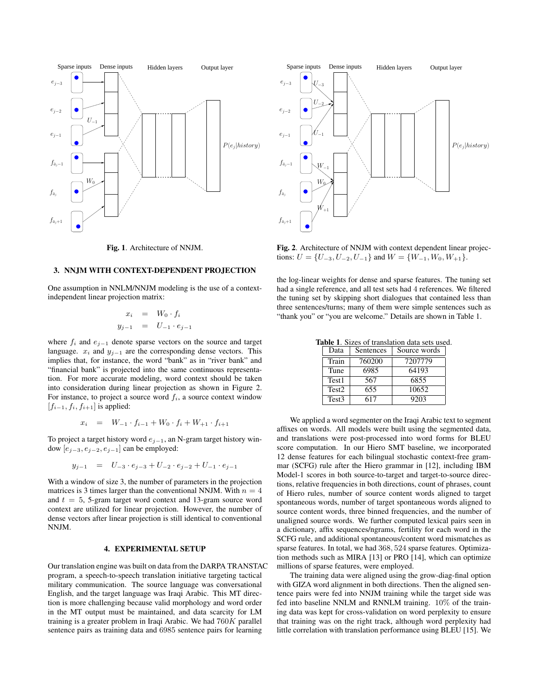

Fig. 1. Architecture of NNJM.

# 3. NNJM WITH CONTEXT-DEPENDENT PROJECTION

One assumption in NNLM/NNJM modeling is the use of a contextindependent linear projection matrix:

$$
x_i = W_0 \cdot f_i
$$
  

$$
y_{j-1} = U_{-1} \cdot e_{j-1}
$$

where  $f_i$  and  $e_{j-1}$  denote sparse vectors on the source and target language.  $x_i$  and  $y_{j-1}$  are the corresponding dense vectors. This implies that, for instance, the word "bank" as in "river bank" and "financial bank" is projected into the same continuous representation. For more accurate modeling, word context should be taken into consideration during linear projection as shown in Figure 2. For instance, to project a source word *fi*, a source context window  $[f_{i-1}, f_i, f_{i+1}]$  is applied:

$$
x_i = W_{-1} \cdot f_{i-1} + W_0 \cdot f_i + W_{+1} \cdot f_{i+1}
$$

To project a target history word *e<sup>j</sup>−*<sup>1</sup>, an N-gram target history window [*e<sup>j</sup>−*<sup>3</sup>*, e<sup>j</sup>−*<sup>2</sup>*, e<sup>j</sup>−*<sup>1</sup>] can be employed:

$$
y_{j-1} = U_{-3} \cdot e_{j-3} + U_{-2} \cdot e_{j-2} + U_{-1} \cdot e_{j-1}
$$

With a window of size 3, the number of parameters in the projection matrices is 3 times larger than the conventional NNJM. With  $n = 4$ and *t* = 5, 5-gram target word context and 13-gram source word context are utilized for linear projection. However, the number of dense vectors after linear projection is still identical to conventional NNJM.

### 4. EXPERIMENTAL SETUP

Our translation engine was built on data from the DARPA TRANSTAC program, a speech-to-speech translation initiative targeting tactical military communication. The source language was conversational English, and the target language was Iraqi Arabic. This MT direction is more challenging because valid morphology and word order in the MT output must be maintained, and data scarcity for LM training is a greater problem in Iraqi Arabic. We had 760*K* parallel sentence pairs as training data and 6985 sentence pairs for learning



Fig. 2. Architecture of NNJM with context dependent linear projections:  $U = \{U_{-3}, U_{-2}, U_{-1}\}$  and  $W = \{W_{-1}, W_0, W_{+1}\}.$ 

the log-linear weights for dense and sparse features. The tuning set had a single reference, and all test sets had 4 references. We filtered the tuning set by skipping short dialogues that contained less than three sentences/turns; many of them were simple sentences such as "thank you" or "you are welcome." Details are shown in Table 1.

Table 1. Sizes of translation data sets used.

| Data              | Sentences | Source words |
|-------------------|-----------|--------------|
| Train             | 760200    | 7207779      |
| Tune              | 6985      | 64193        |
| Test1             | 567       | 6855         |
| Test <sub>2</sub> | 655       | 10652        |
| Test <sub>3</sub> | 617       | 9203         |

We applied a word segmenter on the Iraqi Arabic text to segment affixes on words. All models were built using the segmented data, and translations were post-processed into word forms for BLEU score computation. In our Hiero SMT baseline, we incorporated 12 dense features for each bilingual stochastic context-free grammar (SCFG) rule after the Hiero grammar in [12], including IBM Model-1 scores in both source-to-target and target-to-source directions, relative frequencies in both directions, count of phrases, count of Hiero rules, number of source content words aligned to target spontaneous words, number of target spontaneous words aligned to source content words, three binned frequencies, and the number of unaligned source words. We further computed lexical pairs seen in a dictionary, affix sequences/ngrams, fertility for each word in the SCFG rule, and additional spontaneous/content word mismatches as sparse features. In total, we had 368*,* 524 sparse features. Optimization methods such as MIRA [13] or PRO [14], which can optimize millions of sparse features, were employed.

The training data were aligned using the grow-diag-final option with GIZA word alignment in both directions. Then the aligned sentence pairs were fed into NNJM training while the target side was fed into baseline NNLM and RNNLM training. 10% of the training data was kept for cross-validation on word perplexity to ensure that training was on the right track, although word perplexity had little correlation with translation performance using BLEU [15]. We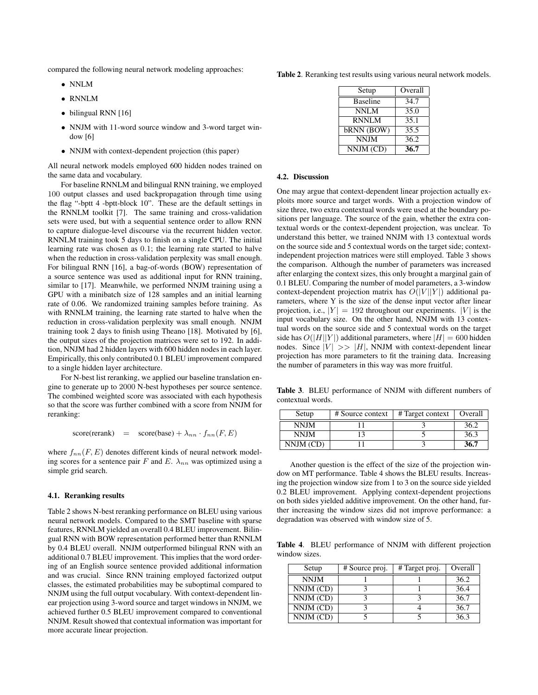compared the following neural network modeling approaches:

- *•* NNLM
- *•* RNNLM
- bilingual RNN [16]
- *•* NNJM with 11-word source window and 3-word target window [6]
- NNJM with context-dependent projection (this paper)

All neural network models employed 600 hidden nodes trained on the same data and vocabulary.

For baseline RNNLM and bilingual RNN training, we employed 100 output classes and used backpropagation through time using the flag "-bptt 4 -bptt-block 10". These are the default settings in the RNNLM toolkit [7]. The same training and cross-validation sets were used, but with a sequential sentence order to allow RNN to capture dialogue-level discourse via the recurrent hidden vector. RNNLM training took 5 days to finish on a single CPU. The initial learning rate was chosen as 0*.*1; the learning rate started to halve when the reduction in cross-validation perplexity was small enough. For bilingual RNN [16], a bag-of-words (BOW) representation of a source sentence was used as additional input for RNN training, similar to [17]. Meanwhile, we performed NNJM training using a GPU with a minibatch size of 128 samples and an initial learning rate of 0.06. We randomized training samples before training. As with RNNLM training, the learning rate started to halve when the reduction in cross-validation perplexity was small enough. NNJM training took 2 days to finish using Theano [18]. Motivated by [6], the output sizes of the projection matrices were set to 192. In addition, NNJM had 2 hidden layers with 600 hidden nodes in each layer. Empirically, this only contributed 0.1 BLEU improvement compared to a single hidden layer architecture.

For N-best list reranking, we applied our baseline translation engine to generate up to 2000 N-best hypotheses per source sentence. The combined weighted score was associated with each hypothesis so that the score was further combined with a score from NNJM for reranking:

score(rerank) = score(base) + 
$$
\lambda_{nn} \cdot f_{nn}(F, E)
$$

where  $f_{nn}(F, E)$  denotes different kinds of neural network modeling scores for a sentence pair *F* and *E*.  $\lambda_{nn}$  was optimized using a simple grid search.

#### 4.1. Reranking results

Table 2 shows N-best reranking performance on BLEU using various neural network models. Compared to the SMT baseline with sparse features, RNNLM yielded an overall 0.4 BLEU improvement. Bilingual RNN with BOW representation performed better than RNNLM by 0.4 BLEU overall. NNJM outperformed bilingual RNN with an additional 0.7 BLEU improvement. This implies that the word ordering of an English source sentence provided additional information and was crucial. Since RNN training employed factorized output classes, the estimated probabilities may be suboptimal compared to NNJM using the full output vocabulary. With context-dependent linear projection using 3-word source and target windows in NNJM, we achieved further 0.5 BLEU improvement compared to conventional NNJM. Result showed that contextual information was important for more accurate linear projection.

Table 2. Reranking test results using various neural network models.

| Setup           | Overall |  |
|-----------------|---------|--|
| <b>Baseline</b> | 34.7    |  |
| NNLM            | 35.0    |  |
| <b>RNNLM</b>    | 35.1    |  |
| bRNN (BOW)      | 35.5    |  |
| <b>NNJM</b>     | 36.2    |  |
| NNJM (CD)       | 36.7    |  |

### 4.2. Discussion

One may argue that context-dependent linear projection actually exploits more source and target words. With a projection window of size three, two extra contextual words were used at the boundary positions per language. The source of the gain, whether the extra contextual words or the context-dependent projection, was unclear. To understand this better, we trained NNJM with 13 contextual words on the source side and 5 contextual words on the target side; contextindependent projection matrices were still employed. Table 3 shows the comparison. Although the number of parameters was increased after enlarging the context sizes, this only brought a marginal gain of 0.1 BLEU. Comparing the number of model parameters, a 3-window context-dependent projection matrix has  $O(|V||Y|)$  additional parameters, where Y is the size of the dense input vector after linear projection, i.e.,  $|Y| = 192$  throughout our experiments.  $|V|$  is the input vocabulary size. On the other hand, NNJM with 13 contextual words on the source side and 5 contextual words on the target side has  $O(|H||Y|)$  additional parameters, where  $|H| = 600$  hidden nodes. Since  $|V| \gg |H|$ , NNJM with context-dependent linear projection has more parameters to fit the training data. Increasing the number of parameters in this way was more fruitful.

Table 3. BLEU performance of NNJM with different numbers of contextual words.

| Setup       | # Source context | # Target context | Overall |
|-------------|------------------|------------------|---------|
| <b>NNIM</b> |                  |                  | 36.2    |
| <b>NNIM</b> |                  |                  | 36.3    |
| NNJM (CD)   |                  |                  | 36.7    |

Another question is the effect of the size of the projection window on MT performance. Table 4 shows the BLEU results. Increasing the projection window size from 1 to 3 on the source side yielded 0.2 BLEU improvement. Applying context-dependent projections on both sides yielded additive improvement. On the other hand, further increasing the window sizes did not improve performance: a degradation was observed with window size of 5.

Table 4. BLEU performance of NNJM with different projection window sizes.

| Setup       | # Source proj. | # Target proj. | Overall |
|-------------|----------------|----------------|---------|
| <b>NNJM</b> |                |                | 36.2    |
| NNJM (CD)   |                |                | 36.4    |
| NNJM (CD)   |                |                | 36.7    |
| NNJM (CD)   |                |                | 36.7    |
| NNJM (CD)   |                |                | 363     |